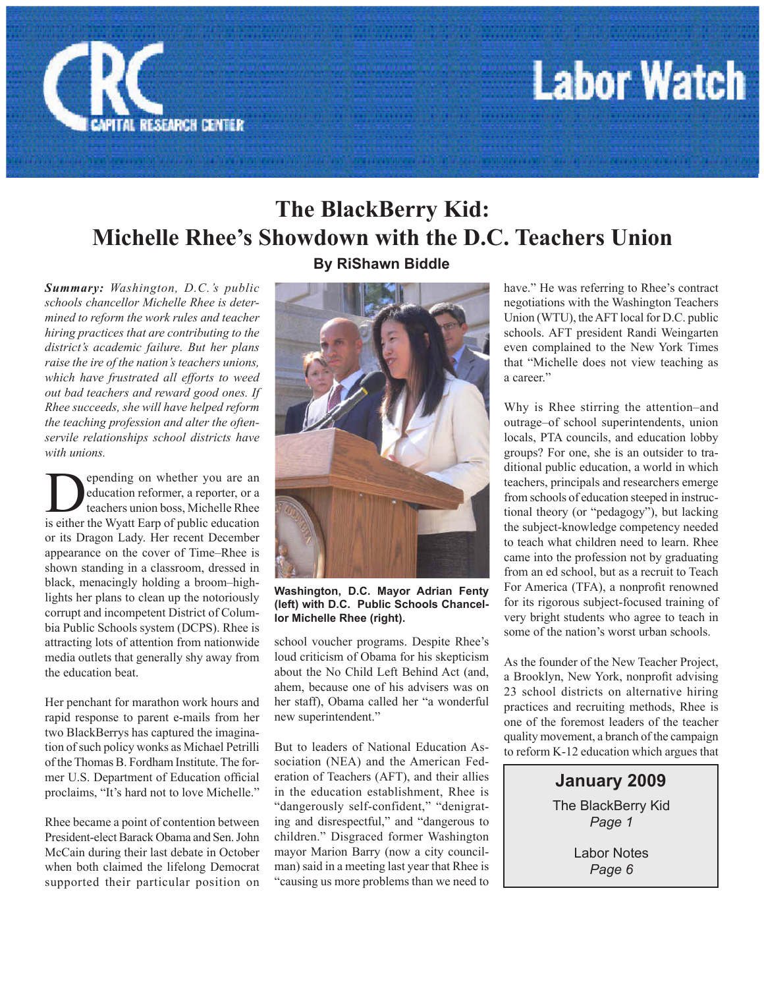

## **Labor Watch**

### **The BlackBerry Kid: Michelle Rhee's Showdown with the D.C. Teachers Union**

*Summary: Washington, D.C.'s public schools chancellor Michelle Rhee is determined to reform the work rules and teacher hiring practices that are contributing to the district's academic failure. But her plans raise the ire of the nation's teachers unions, which have frustrated all efforts to weed out bad teachers and reward good ones. If Rhee succeeds, she will have helped reform the teaching profession and alter the oftenservile relationships school districts have with unions.*

**Depending on whether you are an education reformer, a reporter, or a** teachers union boss, Michelle Rhee is either the Wyatt Earn of public education education reformer, a reporter, or a teachers union boss, Michelle Rhee is either the Wyatt Earp of public education or its Dragon Lady. Her recent December appearance on the cover of Time–Rhee is shown standing in a classroom, dressed in black, menacingly holding a broom–highlights her plans to clean up the notoriously corrupt and incompetent District of Columbia Public Schools system (DCPS). Rhee is attracting lots of attention from nationwide media outlets that generally shy away from the education beat.

Her penchant for marathon work hours and rapid response to parent e-mails from her two BlackBerrys has captured the imagination of such policy wonks as Michael Petrilli of the Thomas B. Fordham Institute. The former U.S. Department of Education official proclaims, "It's hard not to love Michelle."

Rhee became a point of contention between President-elect Barack Obama and Sen. John McCain during their last debate in October when both claimed the lifelong Democrat supported their particular position on

**By RiShawn Biddle**



**Washington, D.C. Mayor Adrian Fenty (left) with D.C. Public Schools Chancellor Michelle Rhee (right).**

school voucher programs. Despite Rhee's loud criticism of Obama for his skepticism about the No Child Left Behind Act (and, ahem, because one of his advisers was on her staff), Obama called her "a wonderful new superintendent."

But to leaders of National Education Association (NEA) and the American Federation of Teachers (AFT), and their allies in the education establishment, Rhee is "dangerously self-confident," "denigrating and disrespectful," and "dangerous to children." Disgraced former Washington mayor Marion Barry (now a city councilman) said in a meeting last year that Rhee is "causing us more problems than we need to

have." He was referring to Rhee's contract negotiations with the Washington Teachers Union (WTU), the AFT local for D.C. public schools. AFT president Randi Weingarten even complained to the New York Times that "Michelle does not view teaching as a career."

Why is Rhee stirring the attention–and outrage–of school superintendents, union locals, PTA councils, and education lobby groups? For one, she is an outsider to traditional public education, a world in which teachers, principals and researchers emerge from schools of education steeped in instructional theory (or "pedagogy"), but lacking the subject-knowledge competency needed to teach what children need to learn. Rhee came into the profession not by graduating from an ed school, but as a recruit to Teach For America (TFA), a nonprofit renowned for its rigorous subject-focused training of very bright students who agree to teach in some of the nation's worst urban schools.

As the founder of the New Teacher Project, a Brooklyn, New York, nonprofit advising 23 school districts on alternative hiring practices and recruiting methods, Rhee is one of the foremost leaders of the teacher quality movement, a branch of the campaign to reform K-12 education which argues that

> **January 2009**  The BlackBerry Kid *Page 1*

> > Labor Notes *Page 6*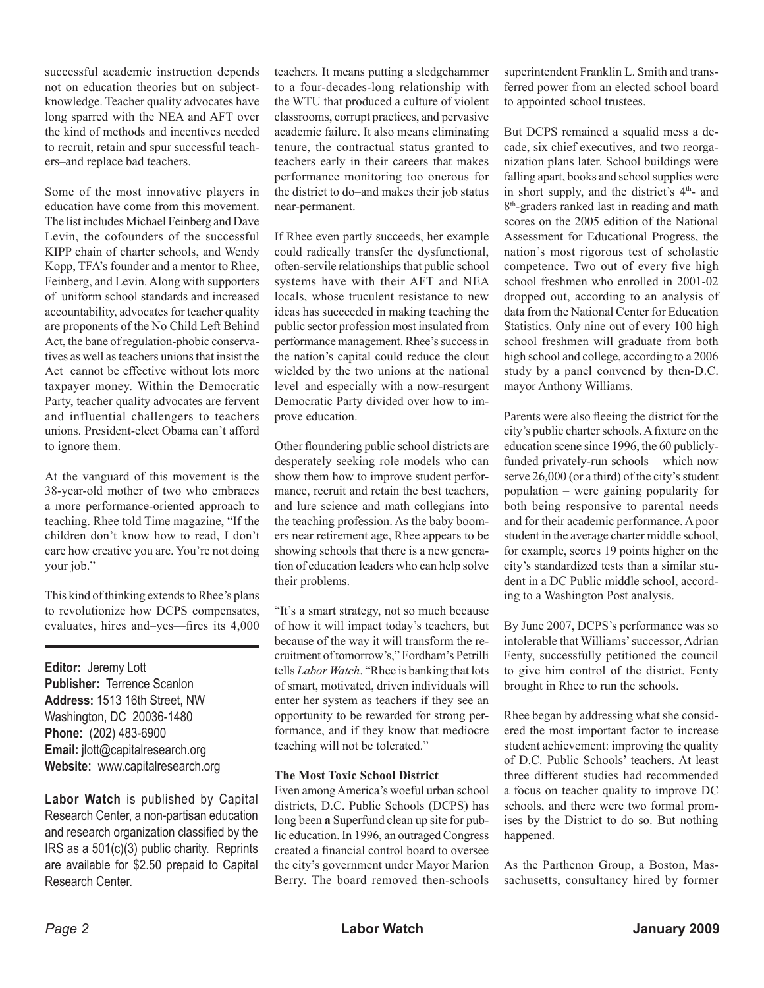successful academic instruction depends not on education theories but on subjectknowledge. Teacher quality advocates have long sparred with the NEA and AFT over the kind of methods and incentives needed to recruit, retain and spur successful teachers–and replace bad teachers.

Some of the most innovative players in education have come from this movement. The list includes Michael Feinberg and Dave Levin, the cofounders of the successful KIPP chain of charter schools, and Wendy Kopp, TFA's founder and a mentor to Rhee, Feinberg, and Levin. Along with supporters of uniform school standards and increased accountability, advocates for teacher quality are proponents of the No Child Left Behind Act, the bane of regulation-phobic conservatives as well as teachers unions that insist the Act cannot be effective without lots more taxpayer money. Within the Democratic Party, teacher quality advocates are fervent and influential challengers to teachers unions. President-elect Obama can't afford to ignore them.

At the vanguard of this movement is the 38-year-old mother of two who embraces a more performance-oriented approach to teaching. Rhee told Time magazine, "If the children don't know how to read, I don't care how creative you are. You're not doing your job."

This kind of thinking extends to Rhee's plans to revolutionize how DCPS compensates, evaluates, hires and–yes—fires its 4,000

**Editor:** Jeremy Lott **Publisher:** Terrence Scanlon **Address:** 1513 16th Street, NW Washington, DC 20036-1480 **Phone:** (202) 483-6900 **Email:** jlott@capitalresearch.org **Website:** www.capitalresearch.org

**Labor Watch** is published by Capital Research Center, a non-partisan education and research organization classified by the IRS as a 501(c)(3) public charity. Reprints are available for \$2.50 prepaid to Capital Research Center.

teachers. It means putting a sledgehammer to a four-decades-long relationship with the WTU that produced a culture of violent classrooms, corrupt practices, and pervasive academic failure. It also means eliminating tenure, the contractual status granted to teachers early in their careers that makes performance monitoring too onerous for the district to do–and makes their job status near-permanent.

If Rhee even partly succeeds, her example could radically transfer the dysfunctional, often-servile relationships that public school systems have with their AFT and NEA locals, whose truculent resistance to new ideas has succeeded in making teaching the public sector profession most insulated from performance management. Rhee's success in the nation's capital could reduce the clout wielded by the two unions at the national level–and especially with a now-resurgent Democratic Party divided over how to improve education.

Other floundering public school districts are desperately seeking role models who can show them how to improve student performance, recruit and retain the best teachers, and lure science and math collegians into the teaching profession. As the baby boomers near retirement age, Rhee appears to be showing schools that there is a new generation of education leaders who can help solve their problems.

"It's a smart strategy, not so much because of how it will impact today's teachers, but because of the way it will transform the recruitment of tomorrow's," Fordham's Petrilli tells *Labor Watch*. "Rhee is banking that lots of smart, motivated, driven individuals will enter her system as teachers if they see an opportunity to be rewarded for strong performance, and if they know that mediocre teaching will not be tolerated."

#### **The Most Toxic School District**

Even among America's woeful urban school districts, D.C. Public Schools (DCPS) has long been **a** Superfund clean up site for public education. In 1996, an outraged Congress created a financial control board to oversee the city's government under Mayor Marion Berry. The board removed then-schools superintendent Franklin L. Smith and transferred power from an elected school board to appointed school trustees.

But DCPS remained a squalid mess a decade, six chief executives, and two reorganization plans later. School buildings were falling apart, books and school supplies were in short supply, and the district's  $4<sup>th</sup>$ - and 8<sup>th</sup>-graders ranked last in reading and math scores on the 2005 edition of the National Assessment for Educational Progress, the nation's most rigorous test of scholastic competence. Two out of every five high school freshmen who enrolled in 2001-02 dropped out, according to an analysis of data from the National Center for Education Statistics. Only nine out of every 100 high school freshmen will graduate from both high school and college, according to a 2006 study by a panel convened by then-D.C. mayor Anthony Williams.

Parents were also fleeing the district for the city's public charter schools. A fixture on the education scene since 1996, the 60 publiclyfunded privately-run schools – which now serve 26,000 (or a third) of the city's student population – were gaining popularity for both being responsive to parental needs and for their academic performance. A poor student in the average charter middle school, for example, scores 19 points higher on the city's standardized tests than a similar student in a DC Public middle school, according to a Washington Post analysis.

By June 2007, DCPS's performance was so intolerable that Williams' successor, Adrian Fenty, successfully petitioned the council to give him control of the district. Fenty brought in Rhee to run the schools.

Rhee began by addressing what she considered the most important factor to increase student achievement: improving the quality of D.C. Public Schools' teachers. At least three different studies had recommended a focus on teacher quality to improve DC schools, and there were two formal promises by the District to do so. But nothing happened.

As the Parthenon Group, a Boston, Massachusetts, consultancy hired by former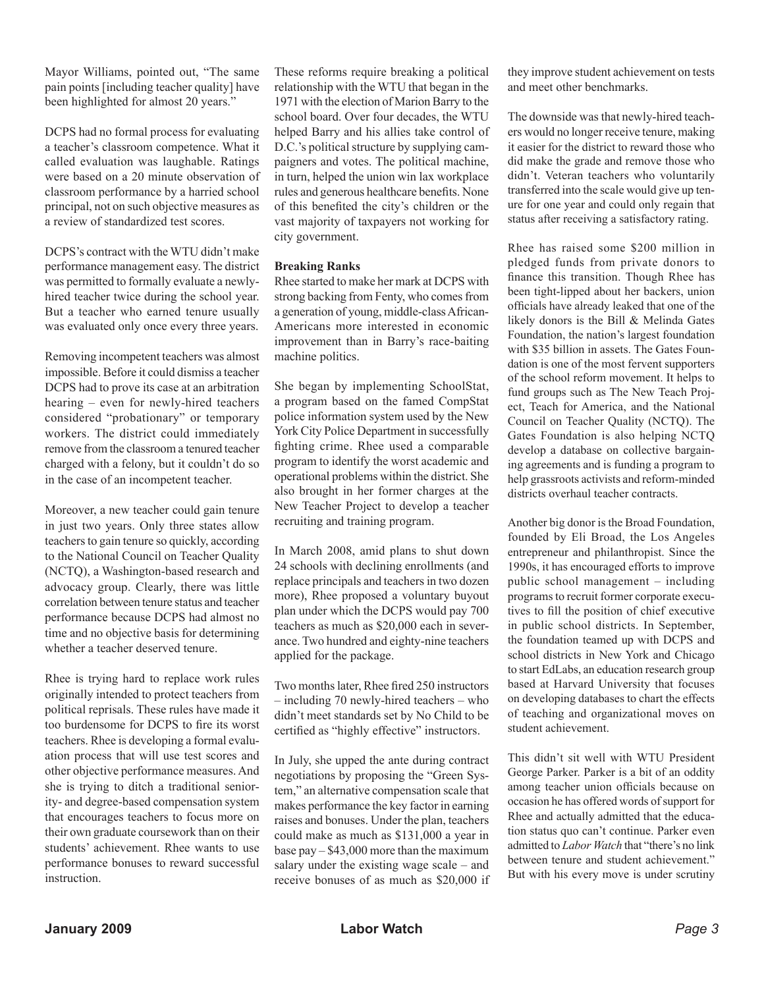Mayor Williams, pointed out, "The same pain points [including teacher quality] have been highlighted for almost 20 years."

DCPS had no formal process for evaluating a teacher's classroom competence. What it called evaluation was laughable. Ratings were based on a 20 minute observation of classroom performance by a harried school principal, not on such objective measures as a review of standardized test scores.

DCPS's contract with the WTU didn't make performance management easy. The district was permitted to formally evaluate a newlyhired teacher twice during the school year. But a teacher who earned tenure usually was evaluated only once every three years.

Removing incompetent teachers was almost impossible. Before it could dismiss a teacher DCPS had to prove its case at an arbitration hearing – even for newly-hired teachers considered "probationary" or temporary workers. The district could immediately remove from the classroom a tenured teacher charged with a felony, but it couldn't do so in the case of an incompetent teacher.

Moreover, a new teacher could gain tenure in just two years. Only three states allow teachers to gain tenure so quickly, according to the National Council on Teacher Quality (NCTQ), a Washington-based research and advocacy group. Clearly, there was little correlation between tenure status and teacher performance because DCPS had almost no time and no objective basis for determining whether a teacher deserved tenure.

Rhee is trying hard to replace work rules originally intended to protect teachers from political reprisals. These rules have made it too burdensome for DCPS to fire its worst teachers. Rhee is developing a formal evaluation process that will use test scores and other objective performance measures. And she is trying to ditch a traditional seniority- and degree-based compensation system that encourages teachers to focus more on their own graduate coursework than on their students' achievement. Rhee wants to use performance bonuses to reward successful instruction.

These reforms require breaking a political relationship with the WTU that began in the 1971 with the election of Marion Barry to the school board. Over four decades, the WTU helped Barry and his allies take control of D.C.'s political structure by supplying campaigners and votes. The political machine, in turn, helped the union win lax workplace rules and generous healthcare benefits. None of this benefited the city's children or the vast majority of taxpayers not working for city government.

#### **Breaking Ranks**

Rhee started to make her mark at DCPS with strong backing from Fenty, who comes from a generation of young, middle-class African-Americans more interested in economic improvement than in Barry's race-baiting machine politics.

She began by implementing SchoolStat, a program based on the famed CompStat police information system used by the New York City Police Department in successfully fighting crime. Rhee used a comparable program to identify the worst academic and operational problems within the district. She also brought in her former charges at the New Teacher Project to develop a teacher recruiting and training program.

In March 2008, amid plans to shut down 24 schools with declining enrollments (and replace principals and teachers in two dozen more), Rhee proposed a voluntary buyout plan under which the DCPS would pay 700 teachers as much as \$20,000 each in severance. Two hundred and eighty-nine teachers applied for the package.

Two months later, Rhee fired 250 instructors – including 70 newly-hired teachers – who didn't meet standards set by No Child to be certified as "highly effective" instructors.

In July, she upped the ante during contract negotiations by proposing the "Green System," an alternative compensation scale that makes performance the key factor in earning raises and bonuses. Under the plan, teachers could make as much as \$131,000 a year in base pay – \$43,000 more than the maximum salary under the existing wage scale – and receive bonuses of as much as \$20,000 if they improve student achievement on tests and meet other benchmarks.

The downside was that newly-hired teachers would no longer receive tenure, making it easier for the district to reward those who did make the grade and remove those who didn't. Veteran teachers who voluntarily transferred into the scale would give up tenure for one year and could only regain that status after receiving a satisfactory rating.

Rhee has raised some \$200 million in pledged funds from private donors to finance this transition. Though Rhee has been tight-lipped about her backers, union officials have already leaked that one of the likely donors is the Bill & Melinda Gates Foundation, the nation's largest foundation with \$35 billion in assets. The Gates Foundation is one of the most fervent supporters of the school reform movement. It helps to fund groups such as The New Teach Project, Teach for America, and the National Council on Teacher Quality (NCTQ). The Gates Foundation is also helping NCTQ develop a database on collective bargaining agreements and is funding a program to help grassroots activists and reform-minded districts overhaul teacher contracts.

Another big donor is the Broad Foundation, founded by Eli Broad, the Los Angeles entrepreneur and philanthropist. Since the 1990s, it has encouraged efforts to improve public school management – including programs to recruit former corporate executives to fill the position of chief executive in public school districts. In September, the foundation teamed up with DCPS and school districts in New York and Chicago to start EdLabs, an education research group based at Harvard University that focuses on developing databases to chart the effects of teaching and organizational moves on student achievement.

This didn't sit well with WTU President George Parker. Parker is a bit of an oddity among teacher union officials because on occasion he has offered words of support for Rhee and actually admitted that the education status quo can't continue. Parker even admitted to *Labor Watch* that "there's no link between tenure and student achievement." But with his every move is under scrutiny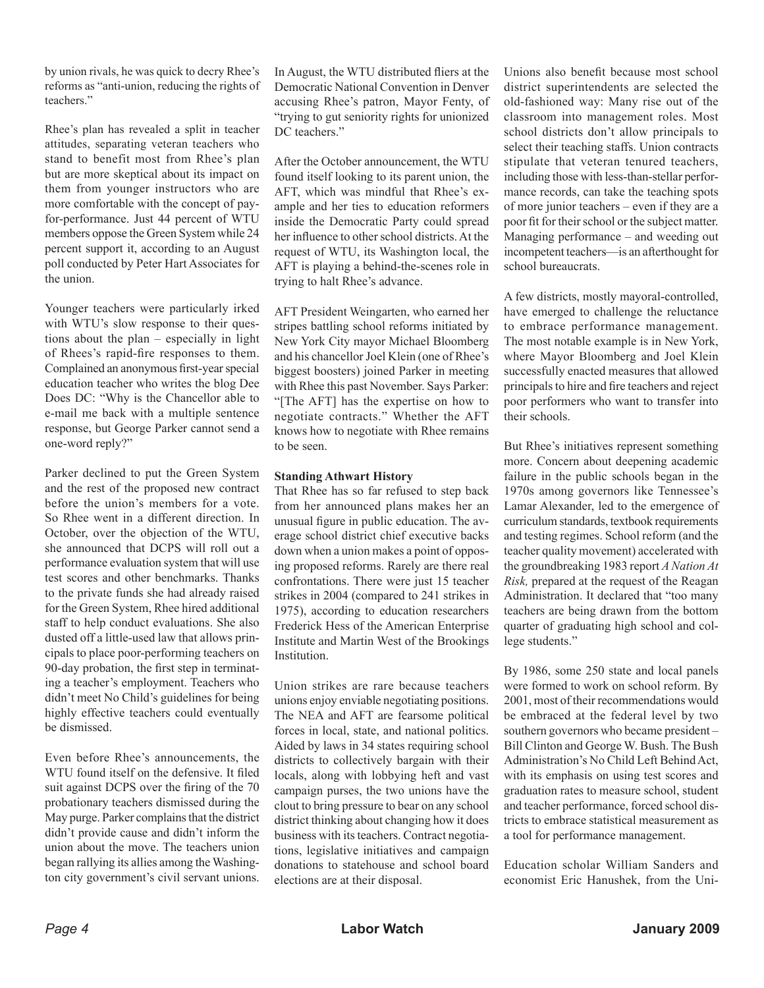by union rivals, he was quick to decry Rhee's reforms as "anti-union, reducing the rights of teachers."

Rhee's plan has revealed a split in teacher attitudes, separating veteran teachers who stand to benefit most from Rhee's plan but are more skeptical about its impact on them from younger instructors who are more comfortable with the concept of payfor-performance. Just 44 percent of WTU members oppose the Green System while 24 percent support it, according to an August poll conducted by Peter Hart Associates for the union.

Younger teachers were particularly irked with WTU's slow response to their questions about the plan – especially in light of Rhees's rapid-fire responses to them. Complained an anonymous first-year special education teacher who writes the blog Dee Does DC: "Why is the Chancellor able to e-mail me back with a multiple sentence response, but George Parker cannot send a one-word reply?"

Parker declined to put the Green System and the rest of the proposed new contract before the union's members for a vote. So Rhee went in a different direction. In October, over the objection of the WTU, she announced that DCPS will roll out a performance evaluation system that will use test scores and other benchmarks. Thanks to the private funds she had already raised for the Green System, Rhee hired additional staff to help conduct evaluations. She also dusted off a little-used law that allows principals to place poor-performing teachers on 90-day probation, the first step in terminating a teacher's employment. Teachers who didn't meet No Child's guidelines for being highly effective teachers could eventually be dismissed.

Even before Rhee's announcements, the WTU found itself on the defensive. It filed suit against DCPS over the firing of the 70 probationary teachers dismissed during the May purge. Parker complains that the district didn't provide cause and didn't inform the union about the move. The teachers union began rallying its allies among the Washington city government's civil servant unions.

In August, the WTU distributed fliers at the Democratic National Convention in Denver accusing Rhee's patron, Mayor Fenty, of "trying to gut seniority rights for unionized DC teachers."

After the October announcement, the WTU found itself looking to its parent union, the AFT, which was mindful that Rhee's example and her ties to education reformers inside the Democratic Party could spread her influence to other school districts. At the request of WTU, its Washington local, the AFT is playing a behind-the-scenes role in trying to halt Rhee's advance.

AFT President Weingarten, who earned her stripes battling school reforms initiated by New York City mayor Michael Bloomberg and his chancellor Joel Klein (one of Rhee's biggest boosters) joined Parker in meeting with Rhee this past November. Says Parker: "[The AFT] has the expertise on how to negotiate contracts." Whether the AFT knows how to negotiate with Rhee remains to be seen.

#### **Standing Athwart History**

That Rhee has so far refused to step back from her announced plans makes her an unusual figure in public education. The average school district chief executive backs down when a union makes a point of opposing proposed reforms. Rarely are there real confrontations. There were just 15 teacher strikes in 2004 (compared to 241 strikes in 1975), according to education researchers Frederick Hess of the American Enterprise Institute and Martin West of the Brookings **Institution** 

Union strikes are rare because teachers unions enjoy enviable negotiating positions. The NEA and AFT are fearsome political forces in local, state, and national politics. Aided by laws in 34 states requiring school districts to collectively bargain with their locals, along with lobbying heft and vast campaign purses, the two unions have the clout to bring pressure to bear on any school district thinking about changing how it does business with its teachers. Contract negotiations, legislative initiatives and campaign donations to statehouse and school board elections are at their disposal.

Unions also benefit because most school district superintendents are selected the old-fashioned way: Many rise out of the classroom into management roles. Most school districts don't allow principals to select their teaching staffs. Union contracts stipulate that veteran tenured teachers, including those with less-than-stellar performance records, can take the teaching spots of more junior teachers – even if they are a poor fit for their school or the subject matter. Managing performance – and weeding out incompetent teachers—is an afterthought for school bureaucrats.

A few districts, mostly mayoral-controlled, have emerged to challenge the reluctance to embrace performance management. The most notable example is in New York, where Mayor Bloomberg and Joel Klein successfully enacted measures that allowed principals to hire and fire teachers and reject poor performers who want to transfer into their schools.

But Rhee's initiatives represent something more. Concern about deepening academic failure in the public schools began in the 1970s among governors like Tennessee's Lamar Alexander, led to the emergence of curriculum standards, textbook requirements and testing regimes. School reform (and the teacher quality movement) accelerated with the groundbreaking 1983 report *A Nation At Risk,* prepared at the request of the Reagan Administration. It declared that "too many teachers are being drawn from the bottom quarter of graduating high school and college students."

By 1986, some 250 state and local panels were formed to work on school reform. By 2001, most of their recommendations would be embraced at the federal level by two southern governors who became president – Bill Clinton and George W. Bush. The Bush Administration's No Child Left Behind Act, with its emphasis on using test scores and graduation rates to measure school, student and teacher performance, forced school districts to embrace statistical measurement as a tool for performance management.

Education scholar William Sanders and economist Eric Hanushek, from the Uni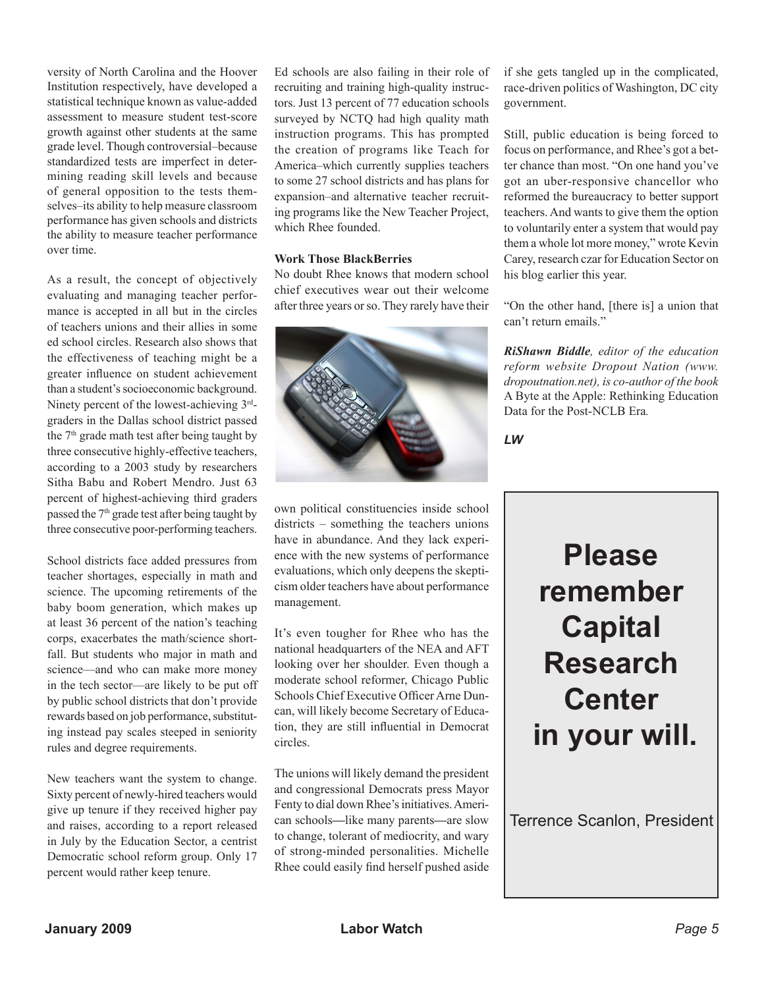versity of North Carolina and the Hoover Institution respectively, have developed a statistical technique known as value-added assessment to measure student test-score growth against other students at the same grade level. Though controversial–because standardized tests are imperfect in determining reading skill levels and because of general opposition to the tests themselves–its ability to help measure classroom performance has given schools and districts the ability to measure teacher performance over time.

As a result, the concept of objectively evaluating and managing teacher performance is accepted in all but in the circles of teachers unions and their allies in some ed school circles. Research also shows that the effectiveness of teaching might be a greater influence on student achievement than a student's socioeconomic background. Ninety percent of the lowest-achieving 3rdgraders in the Dallas school district passed the 7<sup>th</sup> grade math test after being taught by three consecutive highly-effective teachers, according to a 2003 study by researchers Sitha Babu and Robert Mendro. Just 63 percent of highest-achieving third graders passed the 7<sup>th</sup> grade test after being taught by three consecutive poor-performing teachers.

School districts face added pressures from teacher shortages, especially in math and science. The upcoming retirements of the baby boom generation, which makes up at least 36 percent of the nation's teaching corps, exacerbates the math/science shortfall. But students who major in math and science—and who can make more money in the tech sector—are likely to be put off by public school districts that don't provide rewards based on job performance, substituting instead pay scales steeped in seniority rules and degree requirements.

New teachers want the system to change. Sixty percent of newly-hired teachers would give up tenure if they received higher pay and raises, according to a report released in July by the Education Sector, a centrist Democratic school reform group. Only 17 percent would rather keep tenure.

Ed schools are also failing in their role of recruiting and training high-quality instructors. Just 13 percent of 77 education schools surveyed by NCTQ had high quality math instruction programs. This has prompted the creation of programs like Teach for America–which currently supplies teachers to some 27 school districts and has plans for expansion–and alternative teacher recruiting programs like the New Teacher Project, which Rhee founded.

#### **Work Those BlackBerries**

No doubt Rhee knows that modern school chief executives wear out their welcome after three years or so. They rarely have their



own political constituencies inside school districts – something the teachers unions have in abundance. And they lack experience with the new systems of performance evaluations, which only deepens the skepticism older teachers have about performance management.

It's even tougher for Rhee who has the national headquarters of the NEA and AFT looking over her shoulder. Even though a moderate school reformer, Chicago Public Schools Chief Executive Officer Arne Duncan, will likely become Secretary of Education, they are still influential in Democrat circles.

The unions will likely demand the president and congressional Democrats press Mayor Fenty to dial down Rhee's initiatives. American schools**—**like many parents**—**are slow to change, tolerant of mediocrity, and wary of strong-minded personalities. Michelle Rhee could easily find herself pushed aside if she gets tangled up in the complicated, race-driven politics of Washington, DC city government.

Still, public education is being forced to focus on performance, and Rhee's got a better chance than most. "On one hand you've got an uber-responsive chancellor who reformed the bureaucracy to better support teachers. And wants to give them the option to voluntarily enter a system that would pay them a whole lot more money," wrote Kevin Carey, research czar for Education Sector on his blog earlier this year.

"On the other hand, [there is] a union that can't return emails."

*RiShawn Biddle, editor of the education reform website Dropout Nation (www. dropoutnation.net), is co-author of the book*  A Byte at the Apple: Rethinking Education Data for the Post-NCLB Era*.*

*LW*

## **Please remember Capital Research Center in your will.**

Terrence Scanlon, President